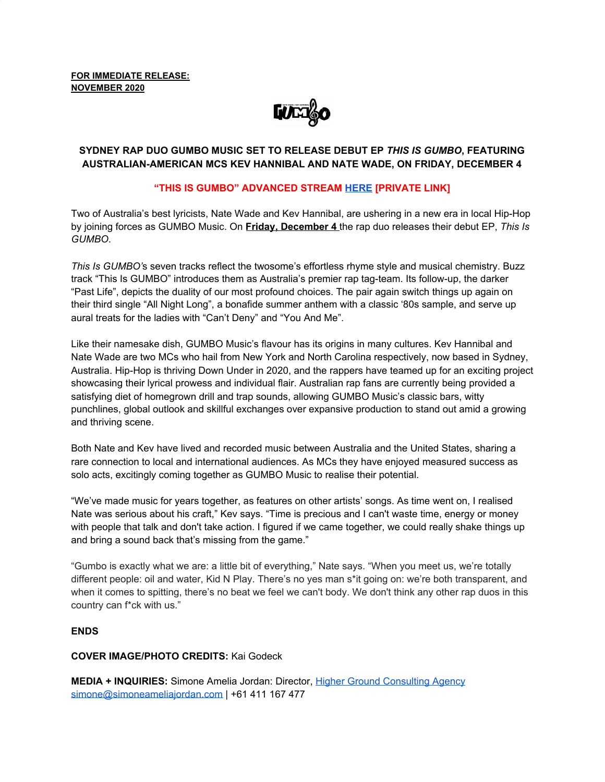**FOR IMMEDIATE RELEASE: NOVEMBER 2020**

**LUEZ&O** 

# **SYDNEY RAP DUO GUMBO MUSIC SET TO RELEASE DEBUT EP** *THIS IS GUMBO***, FEATURING AUSTRALIAN-AMERICAN MCS KEV HANNIBAL AND NATE WADE, ON FRIDAY, DECEMBER 4**

## **"THIS IS GUMBO" ADVANCED STREAM [HERE](https://soundcloud.com/user-214159636/sets/this-is-gumbo-ep/s-kb8Opx6pB2t) [PRIVATE LINK]**

Two of Australia's best lyricists, Nate Wade and Kev Hannibal, are ushering in a new era in local Hip-Hop by joining forces as GUMBO Music. On **Friday, December 4** the rap duo releases their debut EP, *This Is GUMBO*.

*This Is GUMBO'*s seven tracks reflect the twosome's effortless rhyme style and musical chemistry. Buzz track "This Is GUMBO" introduces them as Australia's premier rap tag-team. Its follow-up, the darker "Past Life", depicts the duality of our most profound choices. The pair again switch things up again on their third single "All Night Long", a bonafide summer anthem with a classic '80s sample, and serve up aural treats for the ladies with "Can't Deny" and "You And Me".

Like their namesake dish, GUMBO Music's flavour has its origins in many cultures. Kev Hannibal and Nate Wade are two MCs who hail from New York and North Carolina respectively, now based in Sydney, Australia. Hip-Hop is thriving Down Under in 2020, and the rappers have teamed up for an exciting project showcasing their lyrical prowess and individual flair. Australian rap fans are currently being provided a satisfying diet of homegrown drill and trap sounds, allowing GUMBO Music's classic bars, witty punchlines, global outlook and skillful exchanges over expansive production to stand out amid a growing and thriving scene.

Both Nate and Kev have lived and recorded music between Australia and the United States, sharing a rare connection to local and international audiences. As MCs they have enjoyed measured success as solo acts, excitingly coming together as GUMBO Music to realise their potential.

"We've made music for years together, as features on other artists' songs. As time went on, I realised Nate was serious about his craft," Kev says. "Time is precious and I can't waste time, energy or money with people that talk and don't take action. I figured if we came together, we could really shake things up and bring a sound back that's missing from the game."

"Gumbo is exactly what we are: a little bit of everything," Nate says. "When you meet us, we're totally different people: oil and water, Kid N Play. There's no yes man s\*it going on: we're both transparent, and when it comes to spitting, there's no beat we feel we can't body. We don't think any other rap duos in this country can f\*ck with us."

### **ENDS**

### **COVER IMAGE/PHOTO CREDITS:** Kai Godeck

**MEDIA + INQUIRIES:** Simone Amelia Jordan: Director, Higher Ground [Consulting](http://highergroundconsultingagency.com/) Agency [simone@simoneameliajordan.com](mailto:simone@simoneameliajordan.com) | +61 411 167 477